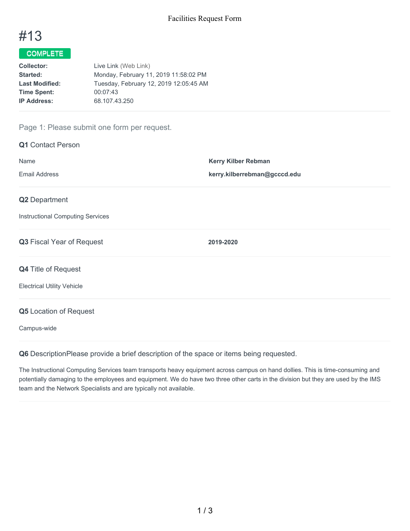

## COMPLETE

| Live Link (Web Link)                   |
|----------------------------------------|
| Monday, February 11, 2019 11:58:02 PM  |
| Tuesday, February 12, 2019 12:05:45 AM |
| 00:07:43                               |
| 68.107.43.250                          |
|                                        |

## Page 1: Please submit one form per request.

| <b>Q1</b> Contact Person                |                              |
|-----------------------------------------|------------------------------|
| Name                                    | Kerry Kilber Rebman          |
| <b>Email Address</b>                    | kerry.kilberrebman@gcccd.edu |
| Q2 Department                           |                              |
| <b>Instructional Computing Services</b> |                              |
| Q3 Fiscal Year of Request               | 2019-2020                    |
| Q4 Title of Request                     |                              |
| <b>Electrical Utility Vehicle</b>       |                              |
| <b>Q5</b> Location of Request           |                              |
| Campus-wide                             |                              |

**Q6** DescriptionPlease provide a brief description of the space or items being requested.

The Instructional Computing Services team transports heavy equipment across campus on hand dollies. This is time-consuming and potentially damaging to the employees and equipment. We do have two three other carts in the division but they are used by the IMS team and the Network Specialists and are typically not available.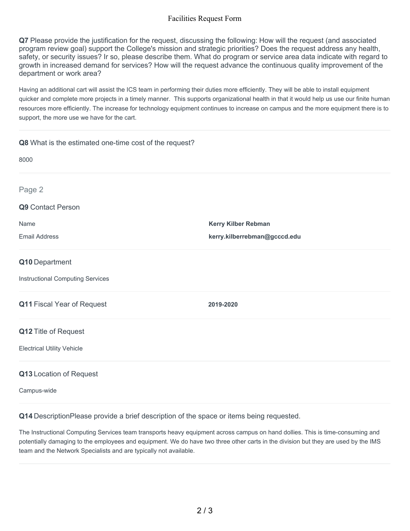## Facilities Request Form

**Q7** Please provide the justification for the request, discussing the following: How will the request (and associated program review goal) support the College's mission and strategic priorities? Does the request address any health, safety, or security issues? Ir so, please describe them. What do program or service area data indicate with regard to growth in increased demand for services? How will the request advance the continuous quality improvement of the department or work area?

Having an additional cart will assist the ICS team in performing their duties more efficiently. They will be able to install equipment quicker and complete more projects in a timely manner. This supports organizational health in that it would help us use our finite human resources more efficiently. The increase for technology equipment continues to increase on campus and the more equipment there is to support, the more use we have for the cart.

| Q8 What is the estimated one-time cost of the request? |                              |
|--------------------------------------------------------|------------------------------|
| 8000                                                   |                              |
| Page 2                                                 |                              |
| Q9 Contact Person                                      |                              |
| Name                                                   | <b>Kerry Kilber Rebman</b>   |
| <b>Email Address</b>                                   | kerry.kilberrebman@gcccd.edu |
| Q10 Department                                         |                              |
| <b>Instructional Computing Services</b>                |                              |
| Q11 Fiscal Year of Request                             | 2019-2020                    |
| Q12 Title of Request                                   |                              |
| <b>Electrical Utility Vehicle</b>                      |                              |
| Q13 Location of Request                                |                              |

Campus-wide

**Q14** DescriptionPlease provide a brief description of the space or items being requested.

The Instructional Computing Services team transports heavy equipment across campus on hand dollies. This is time-consuming and potentially damaging to the employees and equipment. We do have two three other carts in the division but they are used by the IMS team and the Network Specialists and are typically not available.